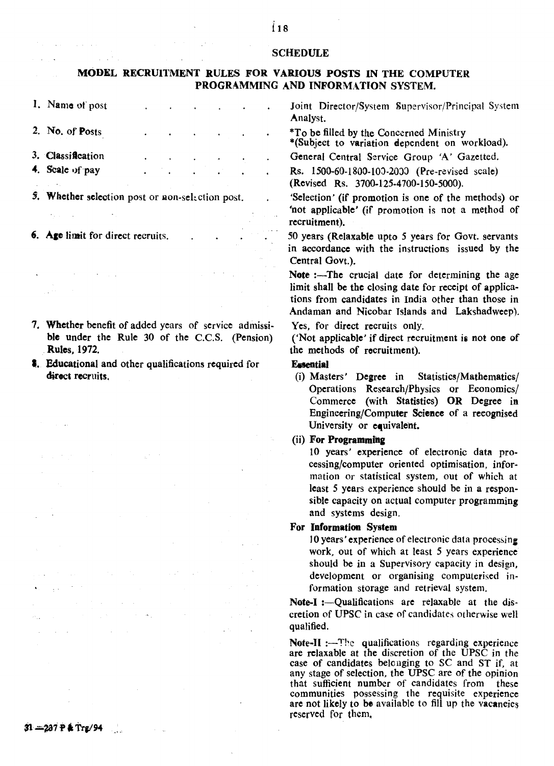## **SCHEDULE**

## MODEL RECRUIl'MENT RULES FOR VARIOUS POSTS IN THE COMPUTER PROGRAMMING AND INFORMATION SYSTEM.

1. Name of post Joint Director/System Supervisor/Principal System Analyst. 2. No. of Posts \*To be filled by the Concerned Ministry \*(Subject to variation dependent on workload). 3. Classification General Central Service Group 'A' Gazetted. 4. Scale of pay Rs. 150o-60-1800·IOJ·20J) (Pre-revised scale) (Revised Rs. 3700-125-4700-150-5000). 5. Whether selection post or non-selection post. 'Selection' (if promotion is one of the methods) or 'not applicable' (if promotion is not a method of recruitment). 6. Age limit for direct recruits. 50 years (Relaxable upto 5 years for Govt. servants in accordance with the instructions issued by the Central Govt.). Note :--The crucial date for determining the age limit shall be the closing date for receipt of applications from candidates in India other than those in Andaman and Nicobar Islands and Lakshadweep). 7. Whether benefit of added years of service admissi-Yes, for direct recruits only. ble under the Rule 30 of the C.C.S. (Pension) ('Not applicable' if direct recruitment ia not one of the methods of recruitment). Rules, 1972. **8.** Educational and other qualifications required for **E**ssential direct recruits. (i) Masters' Degree in Statistics/Mathematics/ Operations Research/Physics or Economics/ Commerce (with Statistics) OR Degree in Engineering/Computer Science of a reeognised University or equivalent.

## (ii) For Programmfng

10 years' experience of electronic data processing/computer oriented optimisation, information or statistical system, out of which at least 5 years experience should be in a responsible capacity on actual computer programming and systems design.

## For Information System

10 years' experience of electronic data processing work, out of which at least 5 years experience should be in a Supervisory capacity in design, development or organising computerised information storage and retrieval system.

Note-I :- Qualifications are relaxable at the discretion of UPSC in case of candidates otherwise well qualified.

Note-II : $-$ The qualifications regarding experience are relaxable at the discretion of the UPSC in the case of candidates belonging to SC and ST if, at any stage of selection, the UPSC are of the opinion that sufficient number of candidates from these communities possessing the requisite experience are not likely to be available to fill up the vacaneies reserved for them,

 $\ddot{\phantom{a}}$ 

 $\sim 10^6$ 

 $\sim$   $\sim$ 

 $\mathcal{O}(\mathcal{O}(\log n))$ 

**College State**